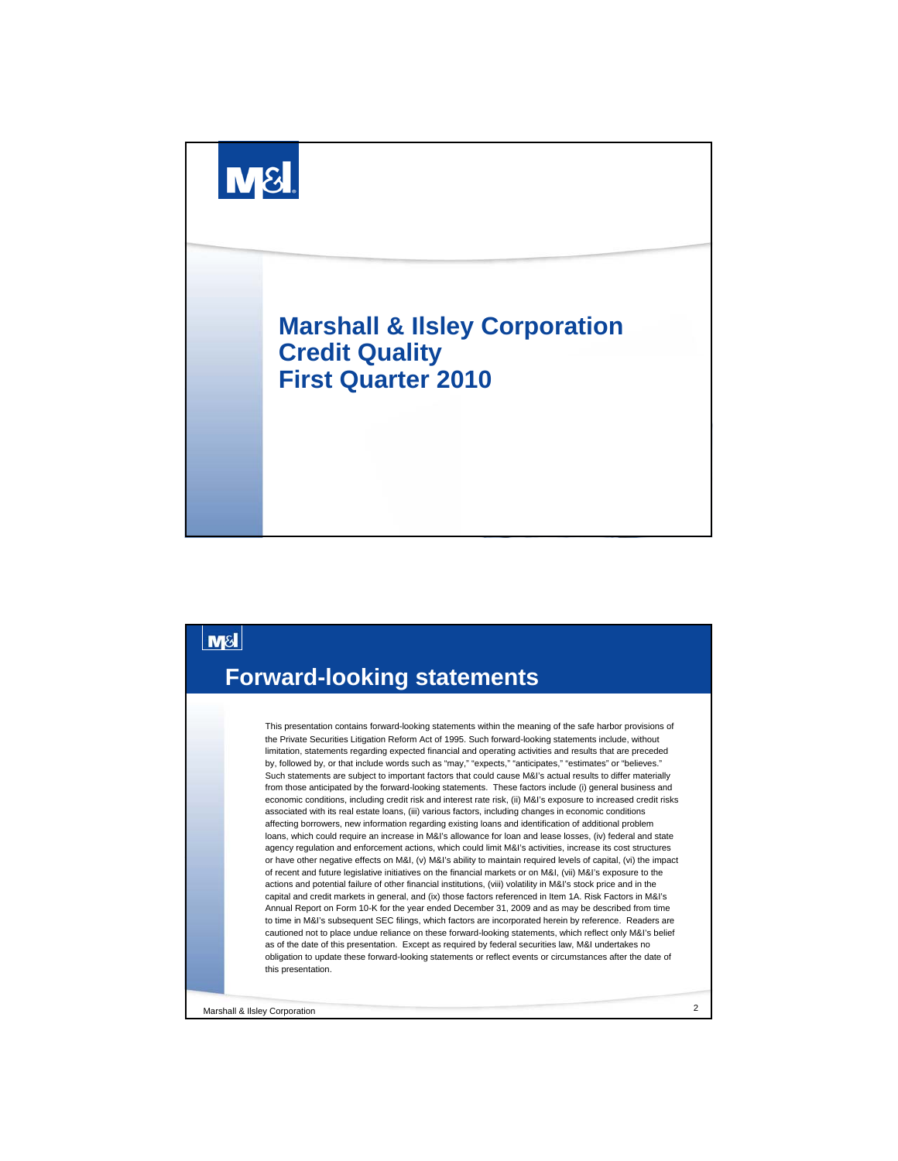



Marshall & Ilsley Corporation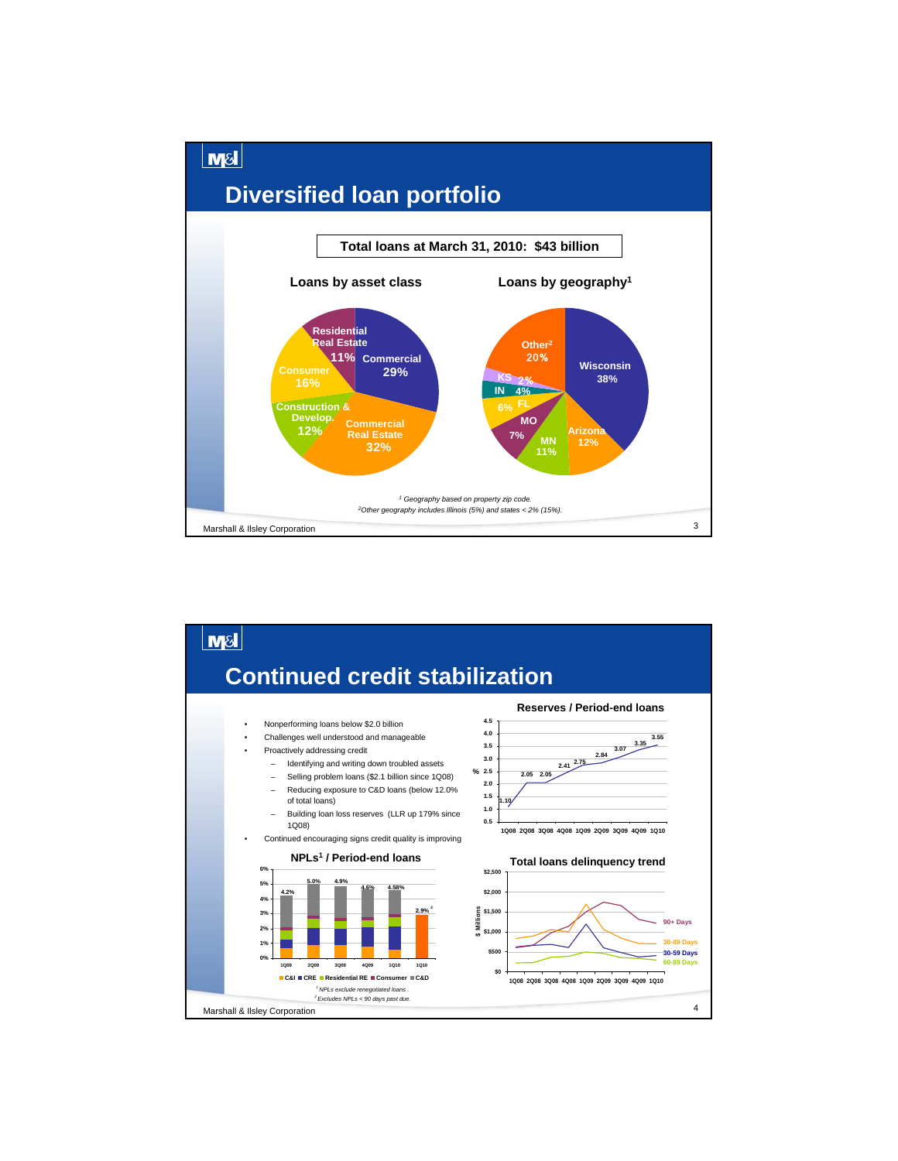

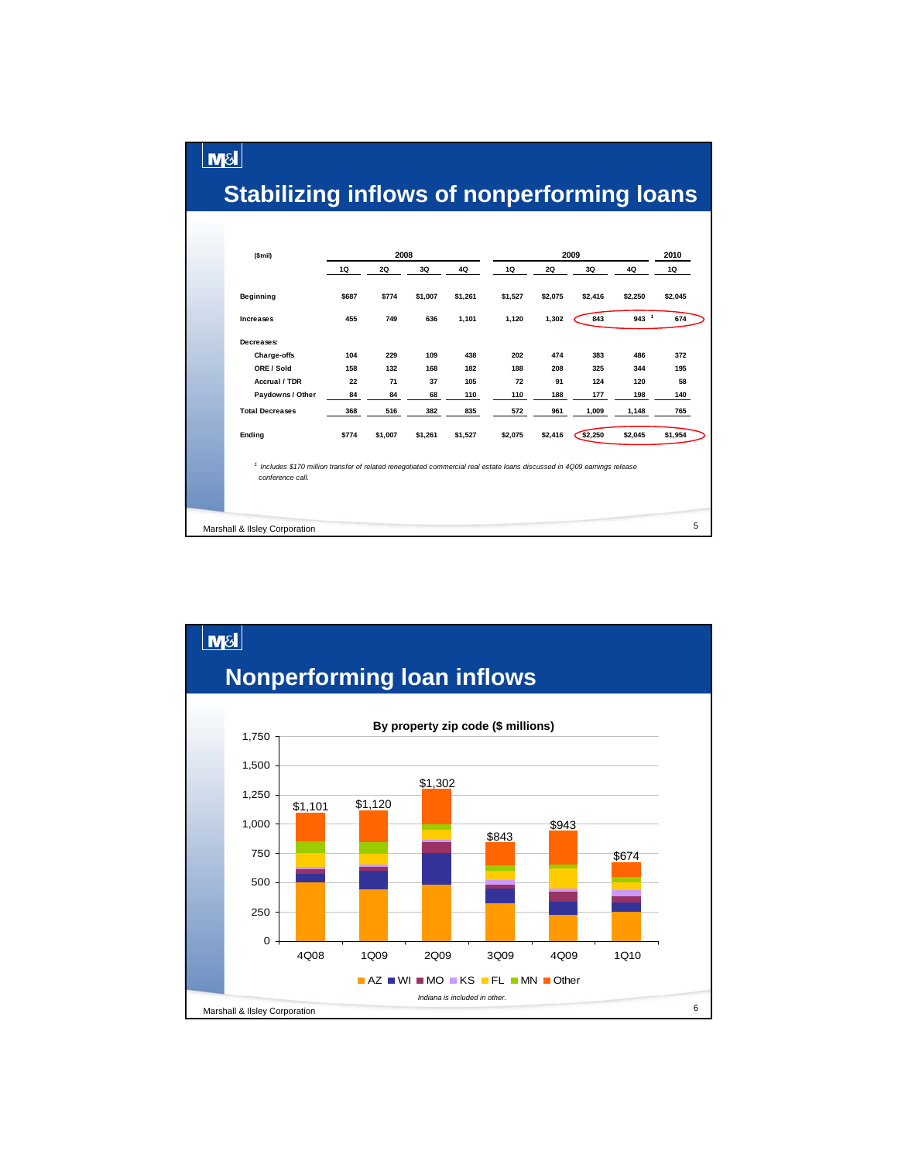#### **Stabilizing inflows of nonperforming loans**

 $\lfloor \mathsf{m}\mathsf{s}\rfloor$ 

| (Smil)                                                                                                                                                   |                               | 2008                          |                               |                                 |                                |                                | 2009                              |                                   | 2010                           |  |
|----------------------------------------------------------------------------------------------------------------------------------------------------------|-------------------------------|-------------------------------|-------------------------------|---------------------------------|--------------------------------|--------------------------------|-----------------------------------|-----------------------------------|--------------------------------|--|
|                                                                                                                                                          | 1Q                            | 2Q                            | 3Q                            | 4Q                              | 1Q                             | 2Q                             | 3Q                                | 4Q                                | 1Q                             |  |
| <b>Beginning</b>                                                                                                                                         | \$687                         | \$774                         | \$1,007                       | \$1,261                         | \$1,527                        | \$2,075                        | \$2,416                           | \$2,250                           | \$2,045                        |  |
| Increases                                                                                                                                                | 455                           | 749                           | 636                           | 1,101                           | 1,120                          | 1,302                          | 843                               | $943-1$                           | 674                            |  |
| Decreases:<br>Charge-offs<br>ORE / Sold<br><b>Accrual / TDR</b><br>Paydowns / Other<br><b>Total Decreases</b>                                            | 104<br>158<br>22<br>84<br>368 | 229<br>132<br>71<br>84<br>516 | 109<br>168<br>37<br>68<br>382 | 438<br>182<br>105<br>110<br>835 | 202<br>188<br>72<br>110<br>572 | 474<br>208<br>91<br>188<br>961 | 383<br>325<br>124<br>177<br>1,009 | 486<br>344<br>120<br>198<br>1,148 | 372<br>195<br>58<br>140<br>765 |  |
| Ending                                                                                                                                                   | \$774                         | \$1,007                       | \$1,261                       | \$1,527                         | \$2,075                        | \$2,416                        | \$2,250                           | \$2,045                           | \$1,954                        |  |
| <sup>1</sup> Includes \$170 million transfer of related renegotiated commercial real estate loans discussed in 4Q09 earnings release<br>conference call. |                               |                               |                               |                                 |                                |                                |                                   |                                   |                                |  |
| Marshall & Ilsley Corporation                                                                                                                            |                               |                               |                               |                                 |                                |                                |                                   |                                   | 5                              |  |

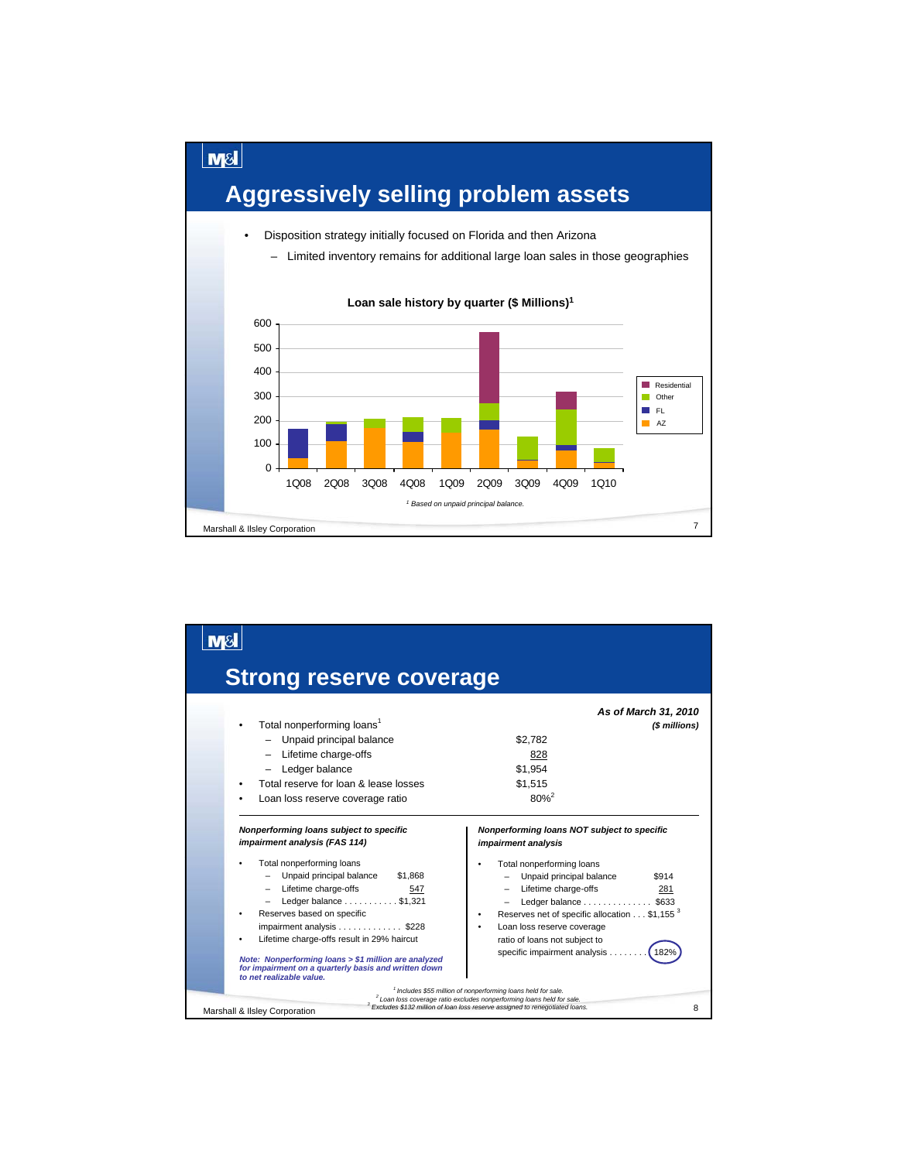

| <b>Strong reserve coverage</b>                                                                                                                                                                                                                                                                                                                                                                                                                                 |                                                                                                                                                                                                                                                                                                                                                                                                                                              |
|----------------------------------------------------------------------------------------------------------------------------------------------------------------------------------------------------------------------------------------------------------------------------------------------------------------------------------------------------------------------------------------------------------------------------------------------------------------|----------------------------------------------------------------------------------------------------------------------------------------------------------------------------------------------------------------------------------------------------------------------------------------------------------------------------------------------------------------------------------------------------------------------------------------------|
| Total nonperforming loans <sup>1</sup><br>٠<br>- Unpaid principal balance<br>- Lifetime charge-offs<br>Ledger balance<br>Total reserve for loan & lease losses<br>Loan loss reserve coverage ratio                                                                                                                                                                                                                                                             | As of March 31, 2010<br>(\$ millions)<br>\$2.782<br>828<br>\$1.954<br>\$1.515<br>$80%^{2}$                                                                                                                                                                                                                                                                                                                                                   |
| Nonperforming loans subject to specific<br>impairment analysis (FAS 114)<br>Total nonperforming loans<br>- Unpaid principal balance<br>\$1,868<br>- Lifetime charge-offs<br>547<br>Ledger balance \$1,321<br>Reserves based on specific<br>impairment analysis \$228<br>Lifetime charge-offs result in 29% haircut<br>Note: Nonperforming loans > \$1 million are analyzed<br>for impairment on a quarterly basis and written down<br>to net realizable value. | Nonperforming loans NOT subject to specific<br>impairment analysis<br>Total nonperforming loans<br>Unpaid principal balance<br>\$914<br>- Lifetime charge-offs<br>281<br>Ledger balance \$633<br>Reserves net of specific allocation \$1,155 <sup>3</sup><br>Loan loss reserve coverage<br>ratio of loans not subject to<br>specific impairment analysis<br>182°<br><sup>1</sup> Includes \$55 million of nonperforming loans held for sale. |
| Marshall & Ilsley Corporation                                                                                                                                                                                                                                                                                                                                                                                                                                  | <sup>2</sup> Loan loss coverage ratio excludes nonperforming loans held for sale.<br><sup>3</sup> Excludes \$132 million of loan loss reserve assigned to renegotiated loans.<br>8                                                                                                                                                                                                                                                           |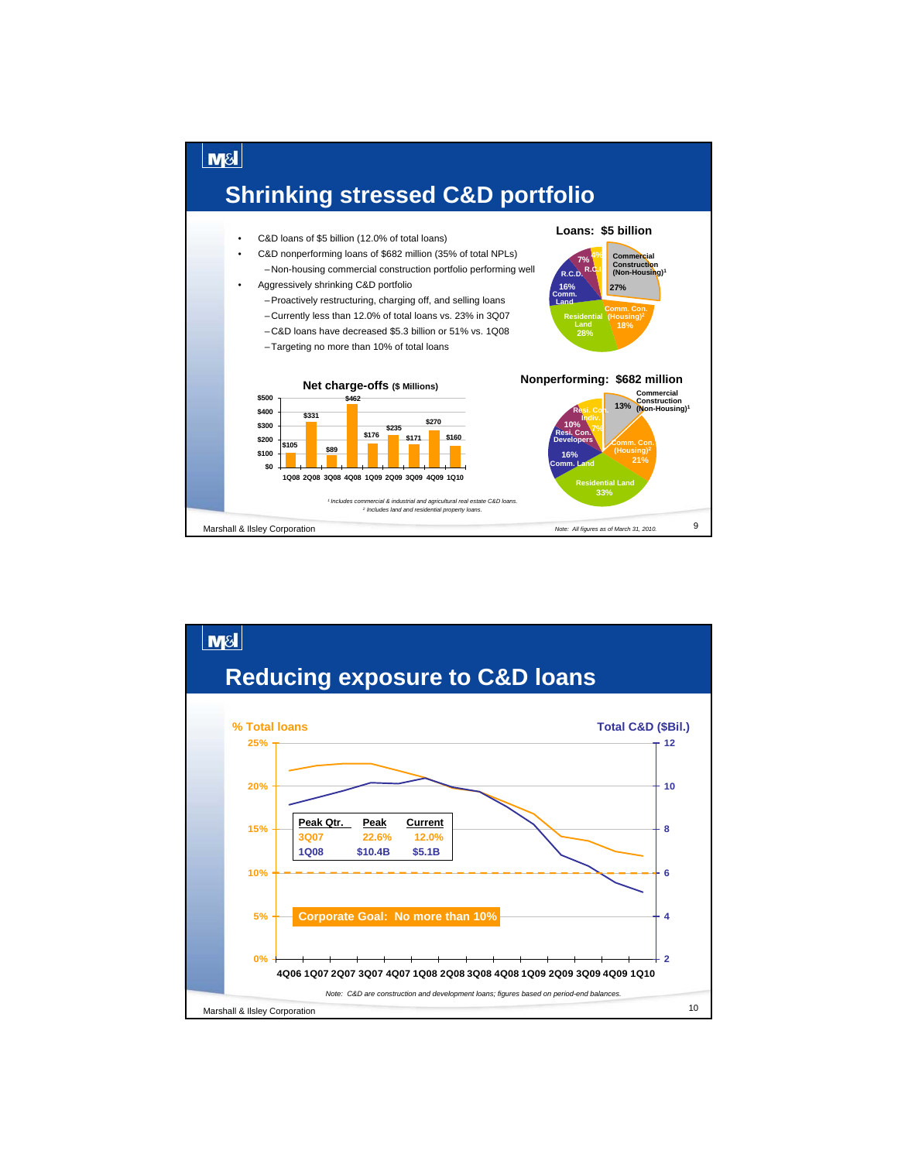

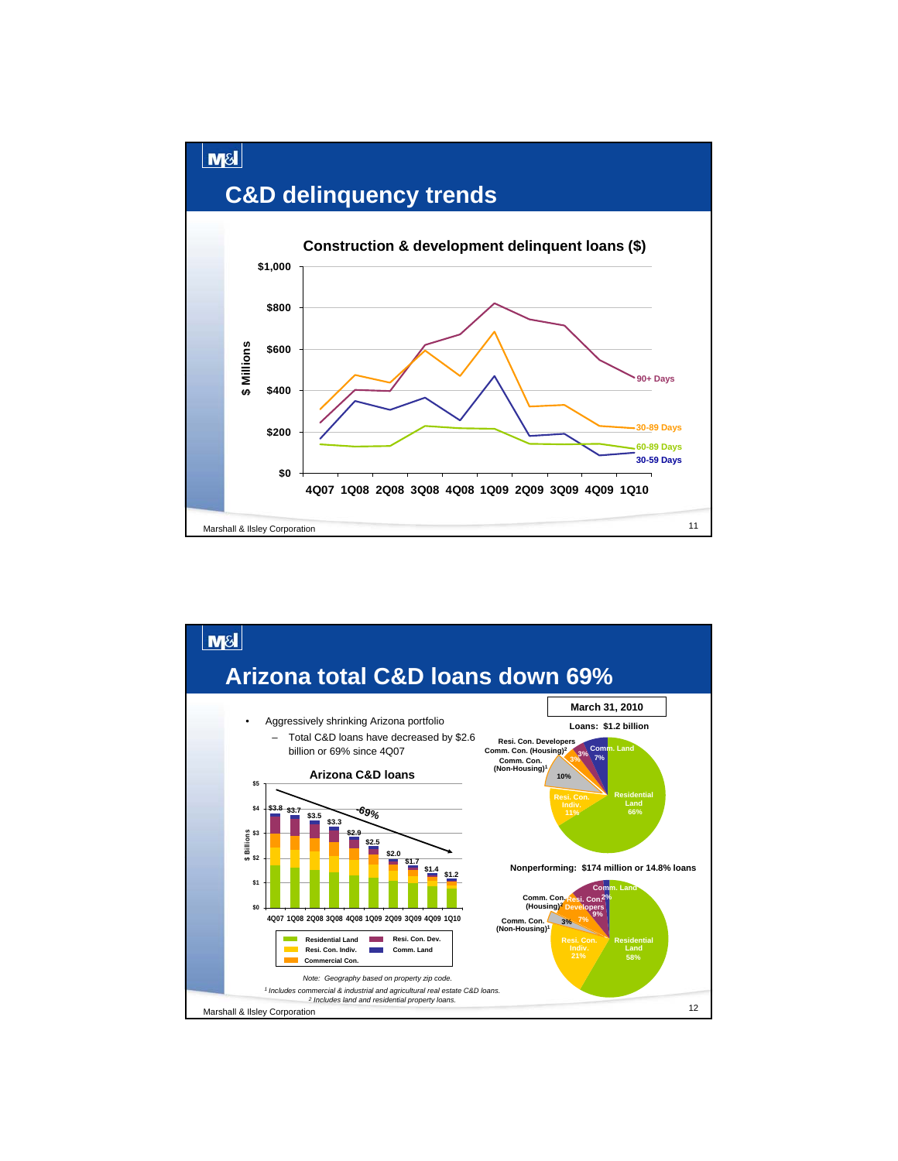

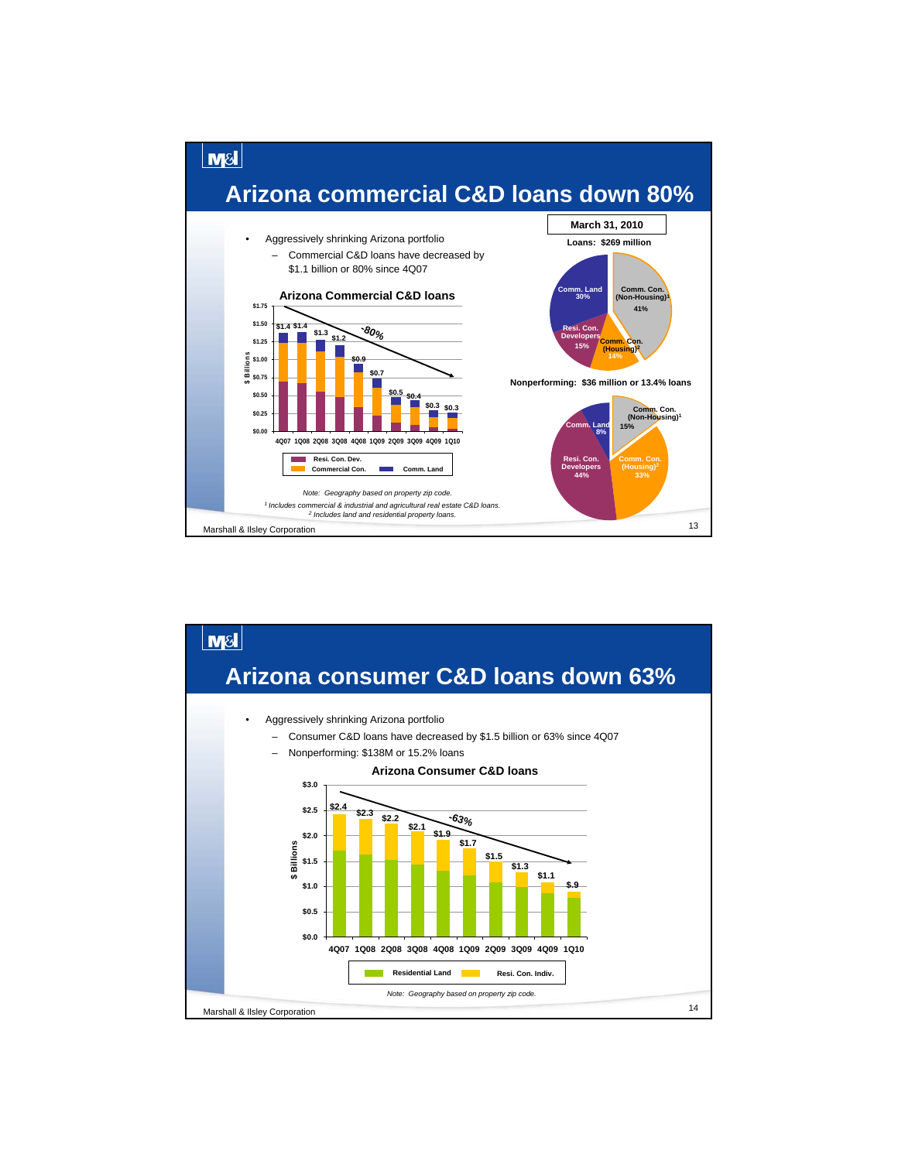

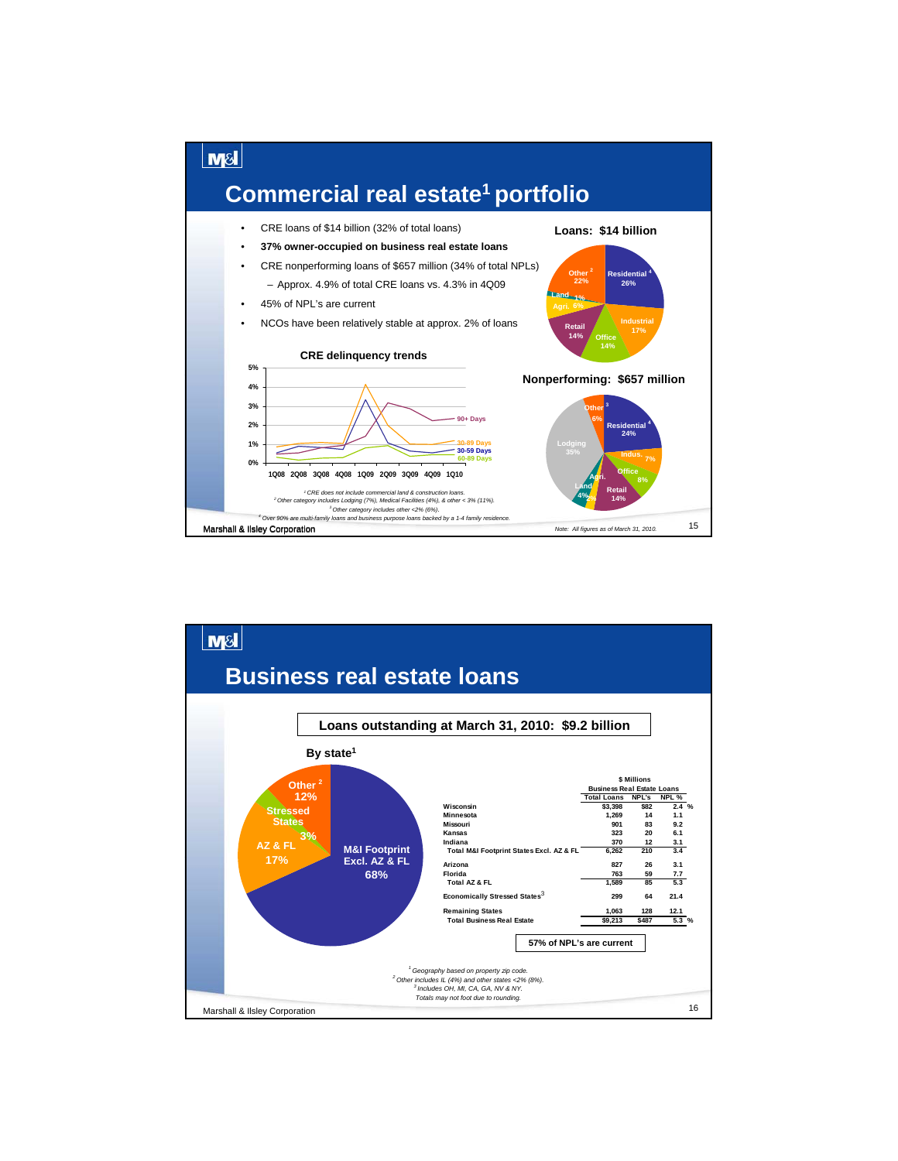

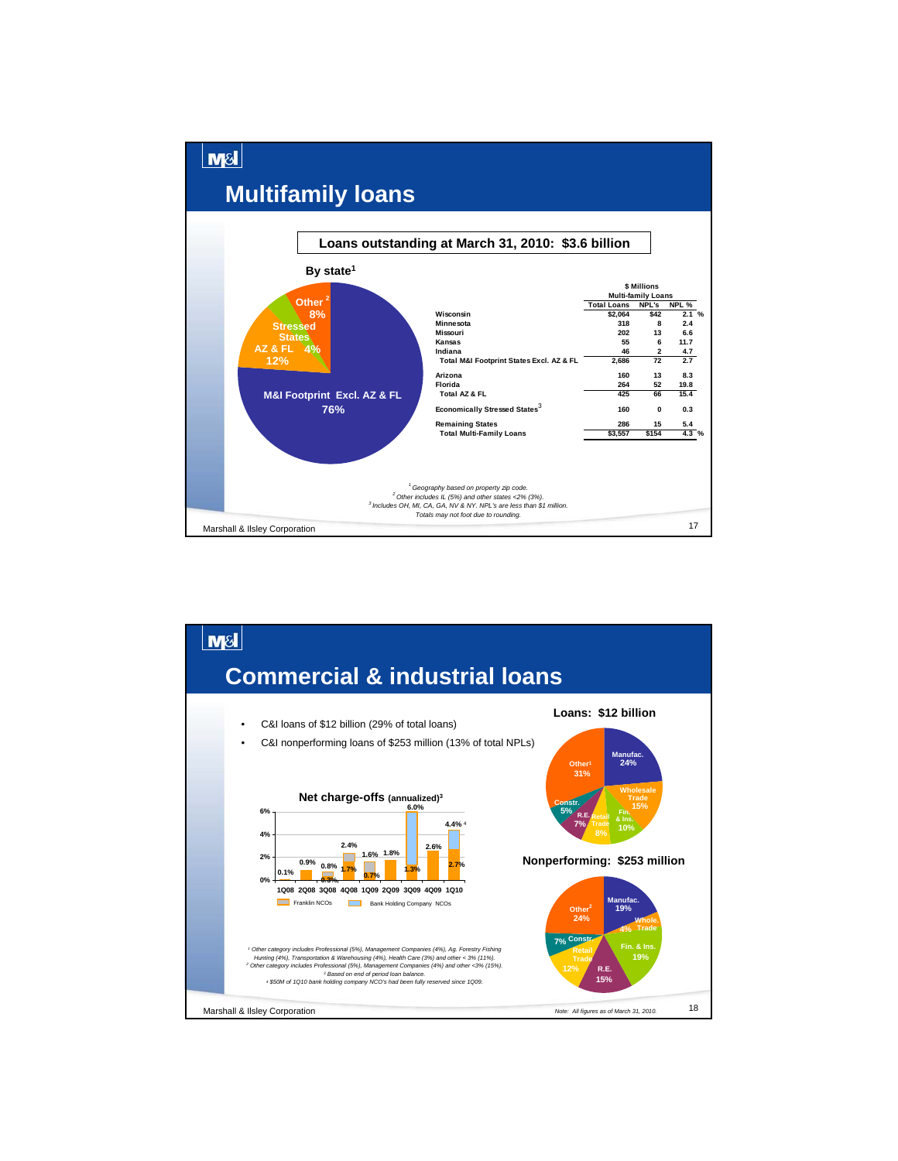

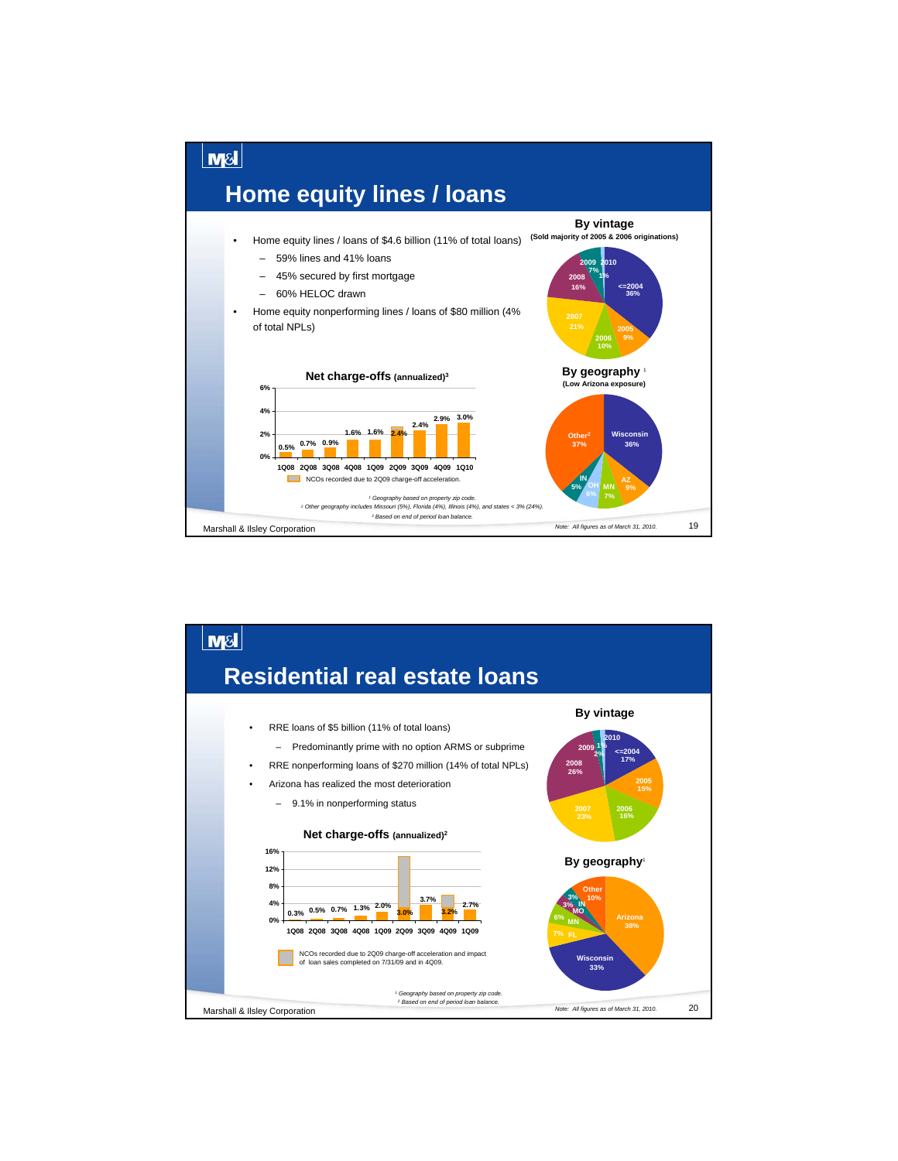

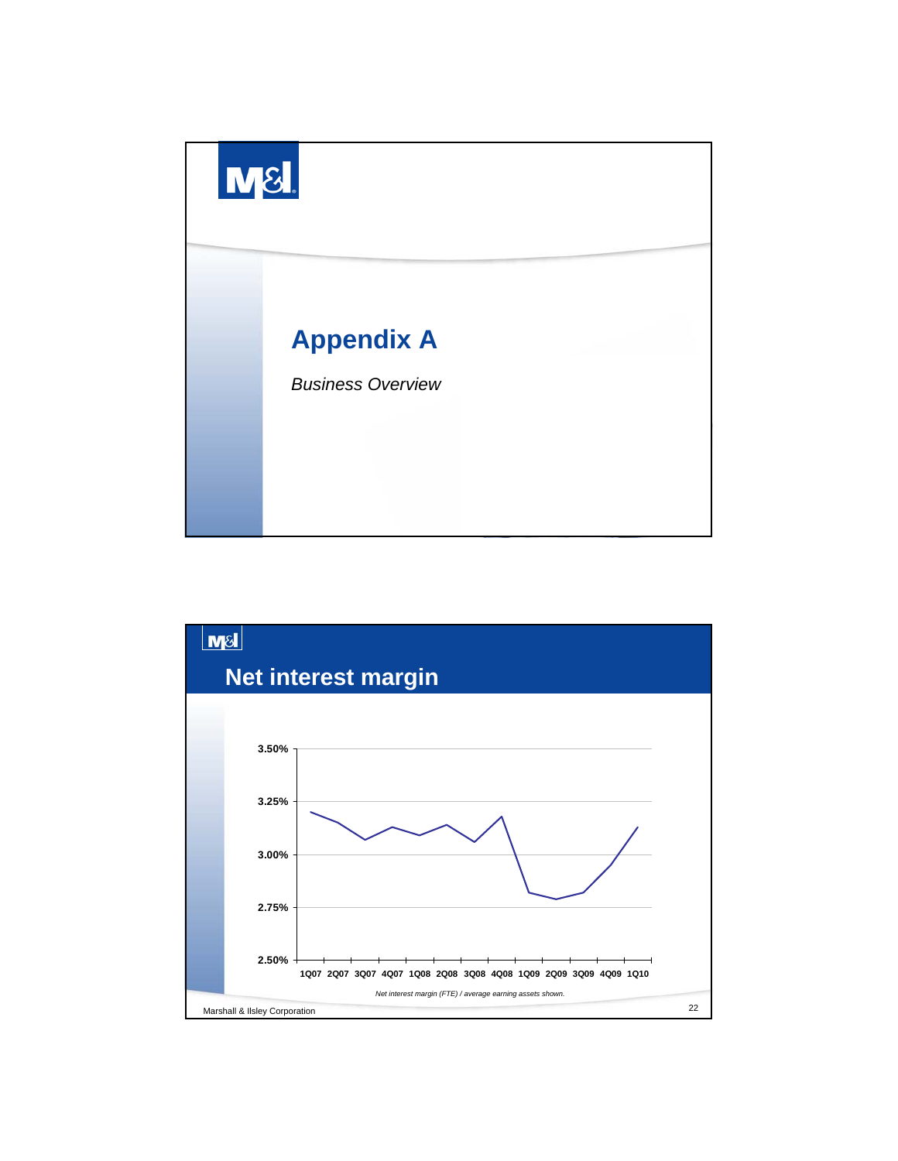

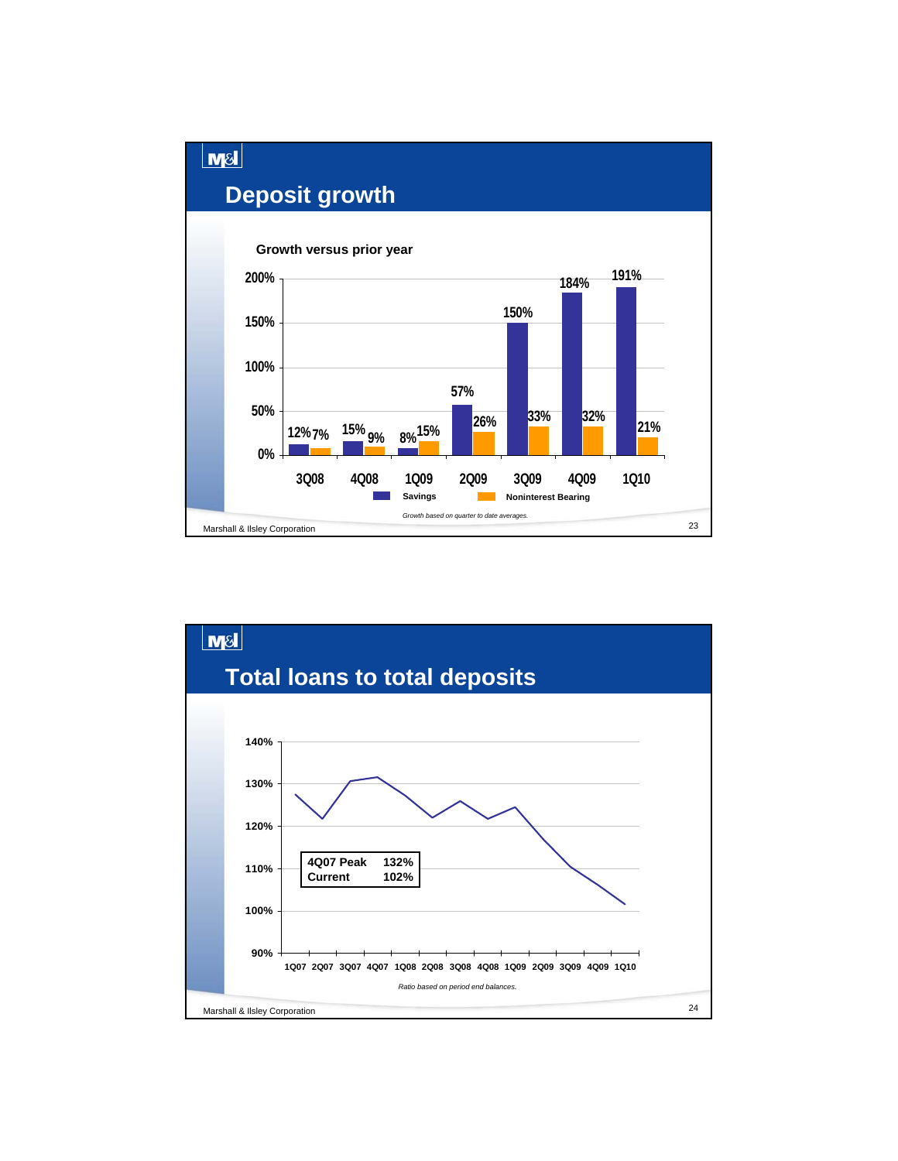

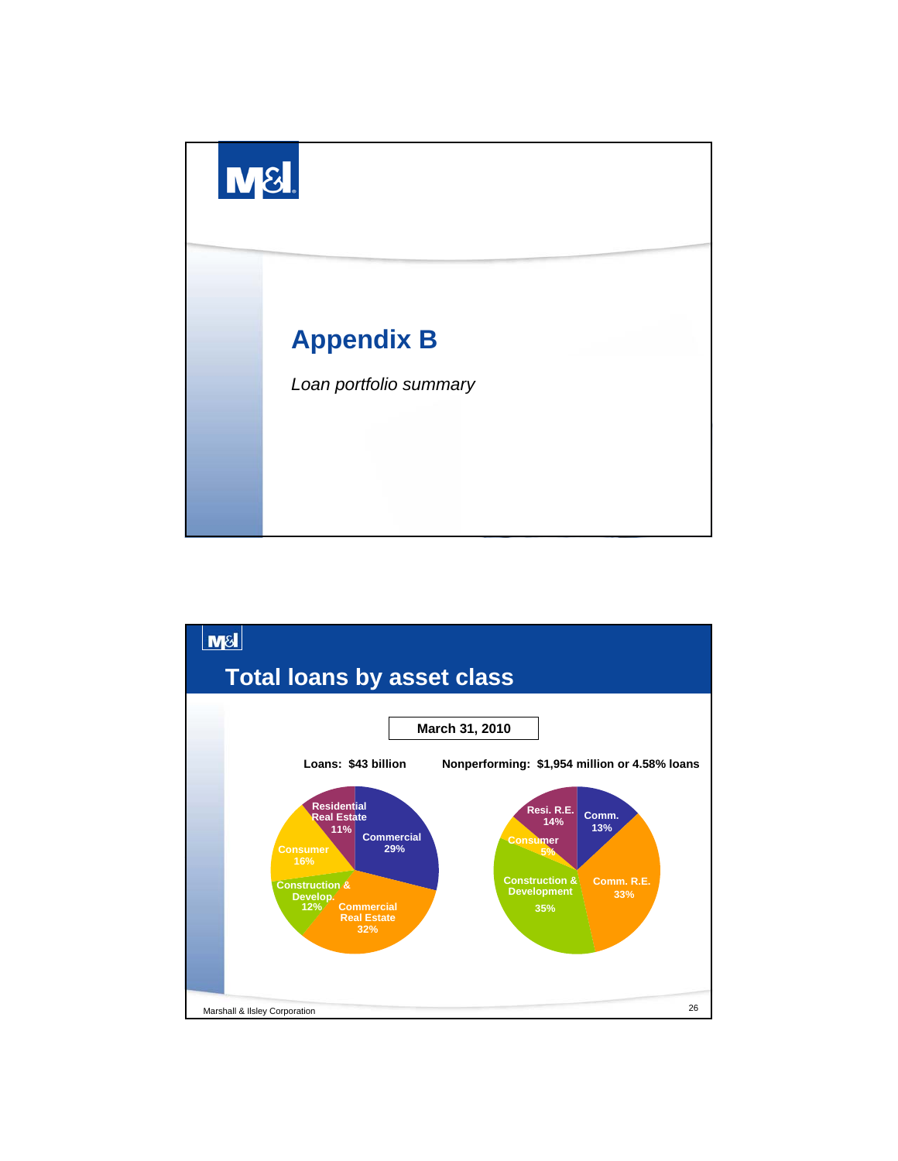

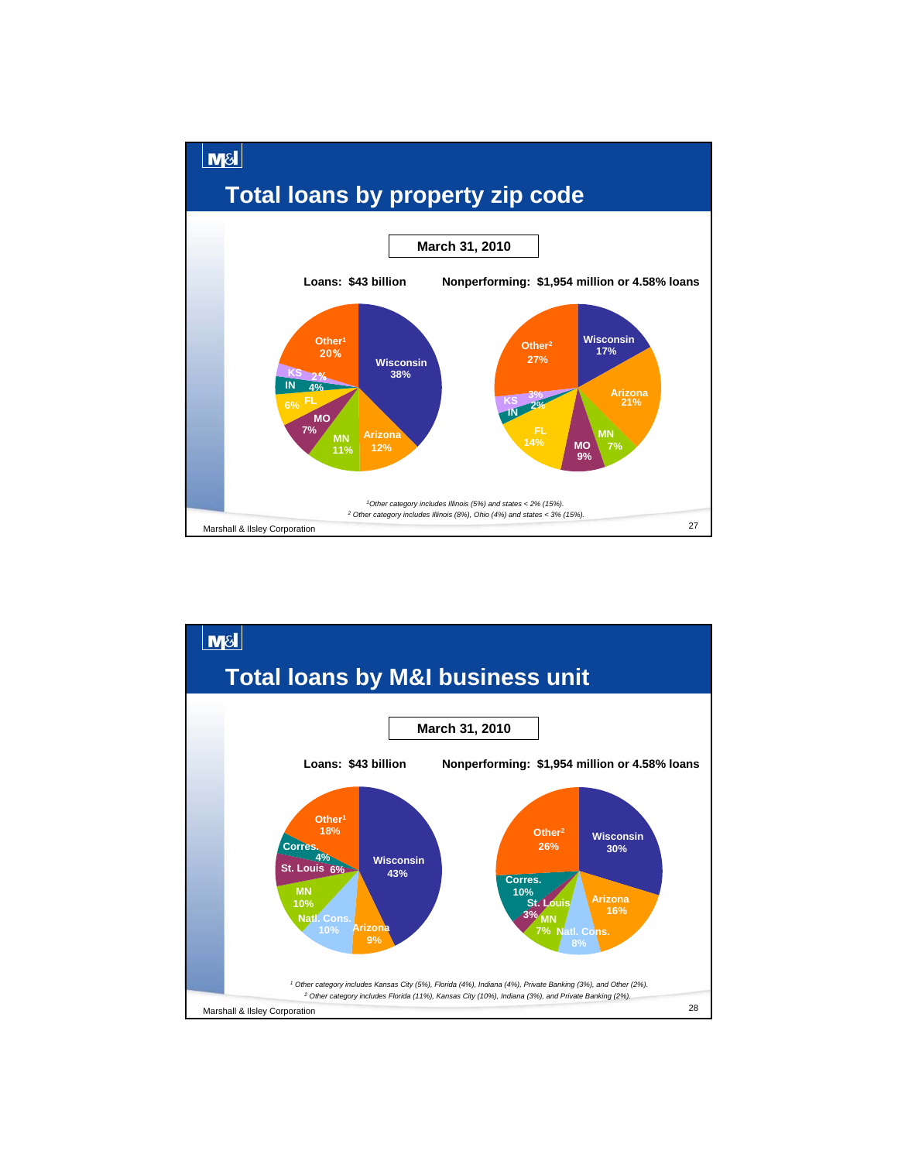

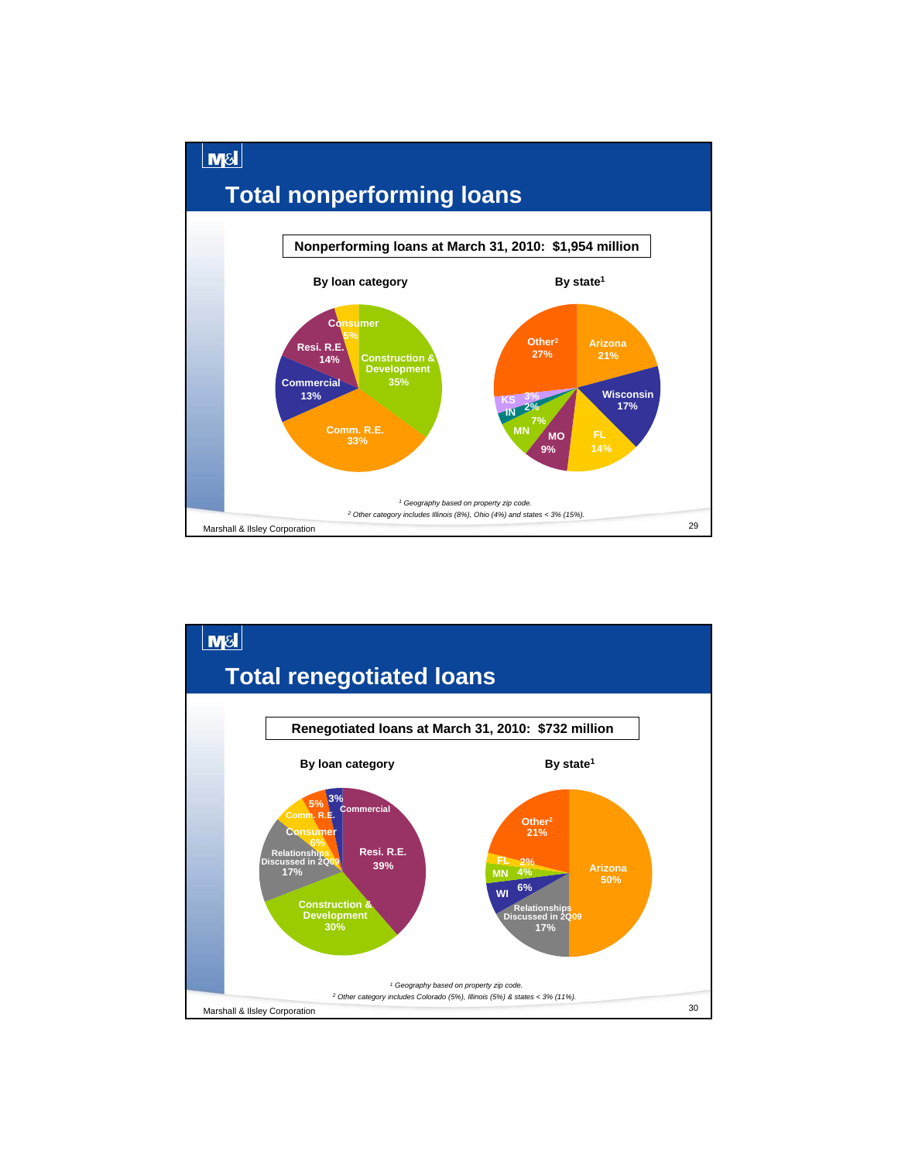

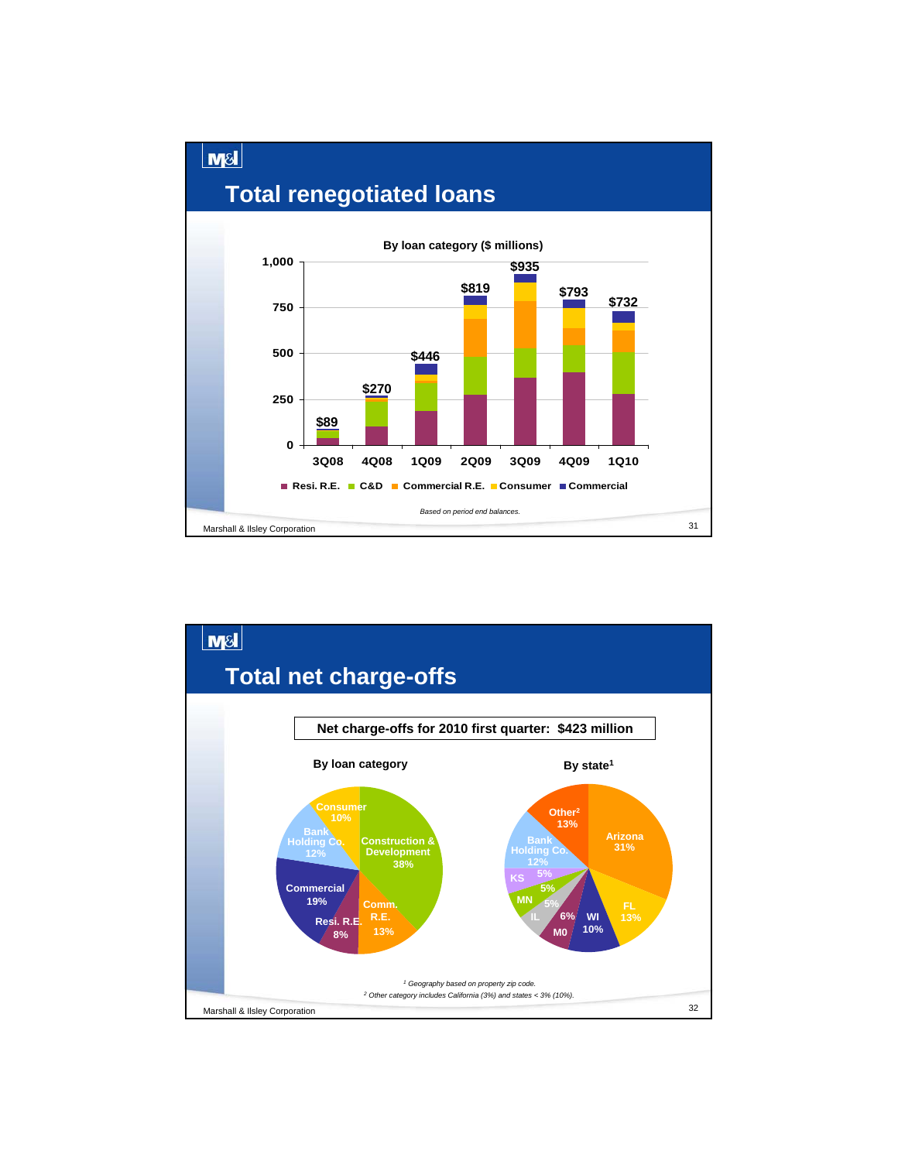

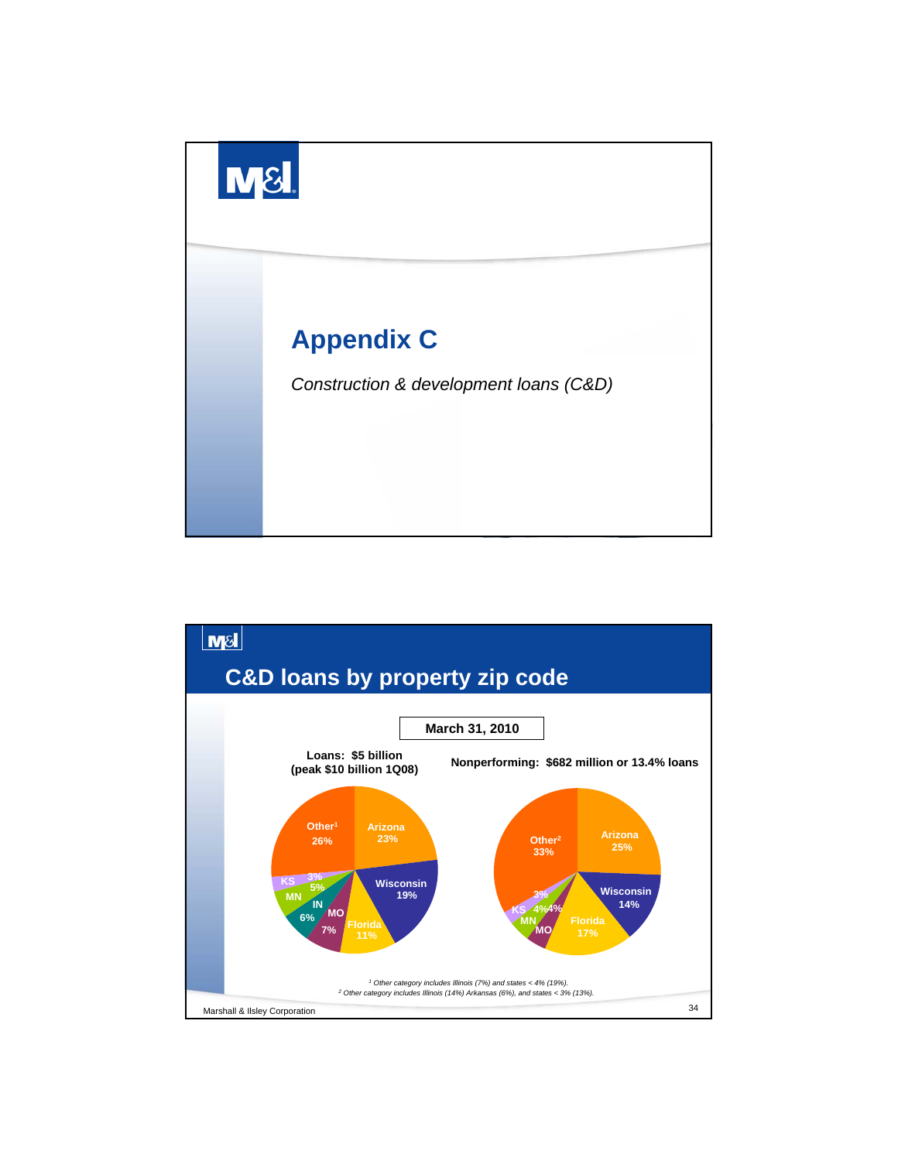

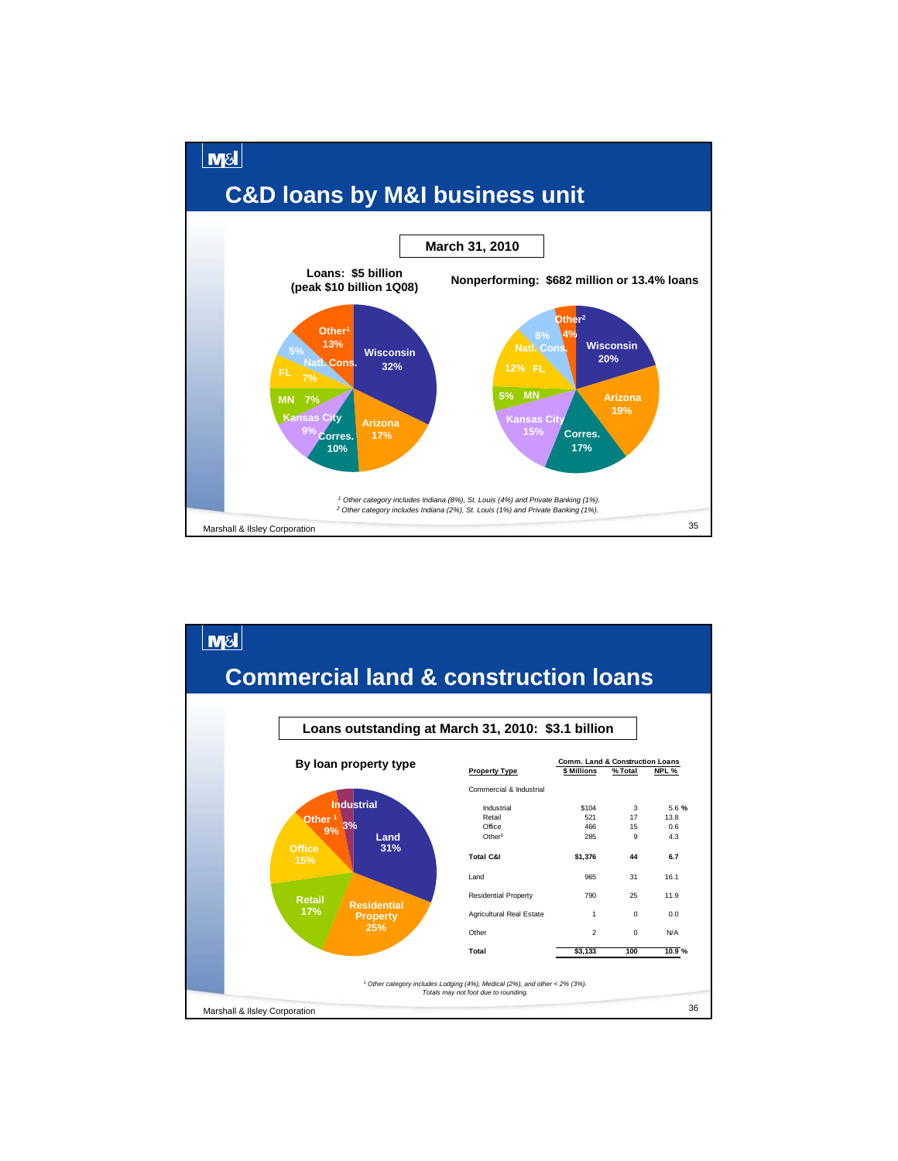

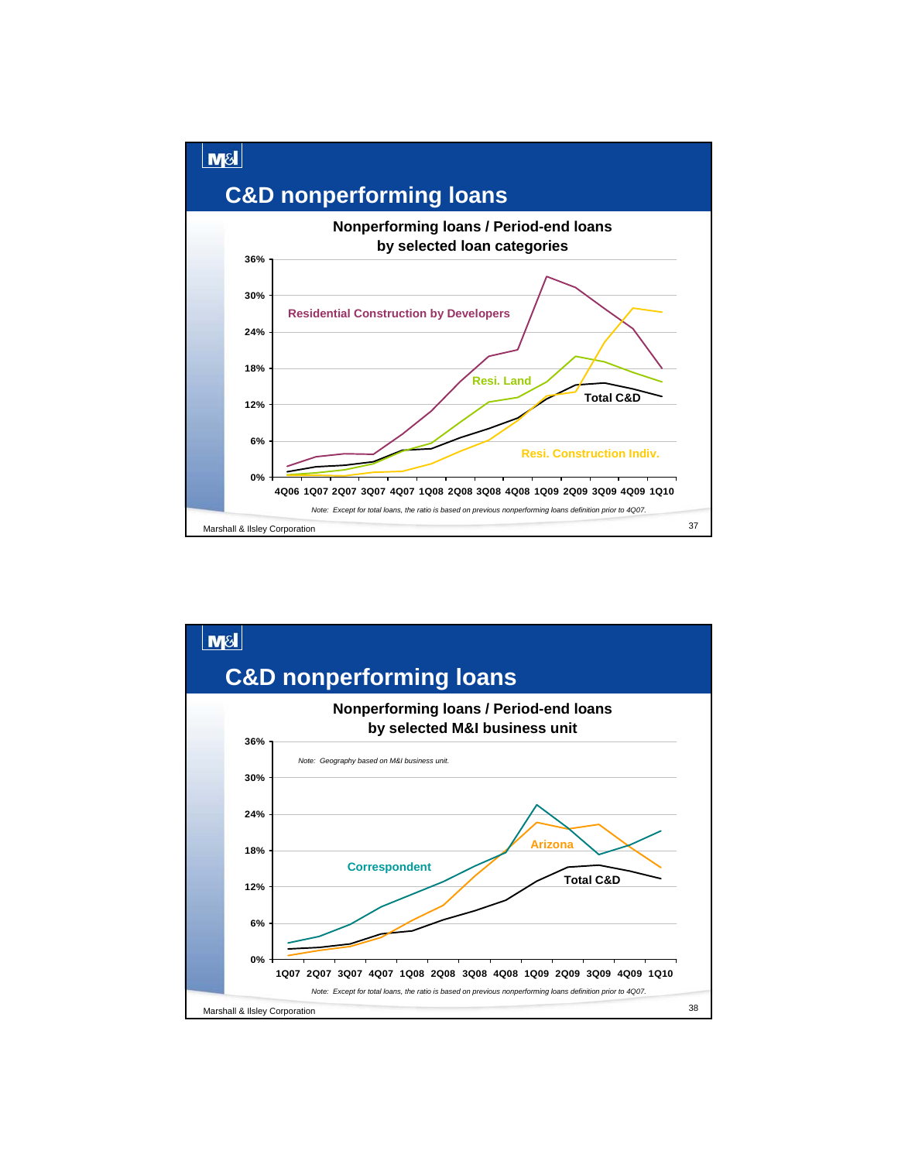

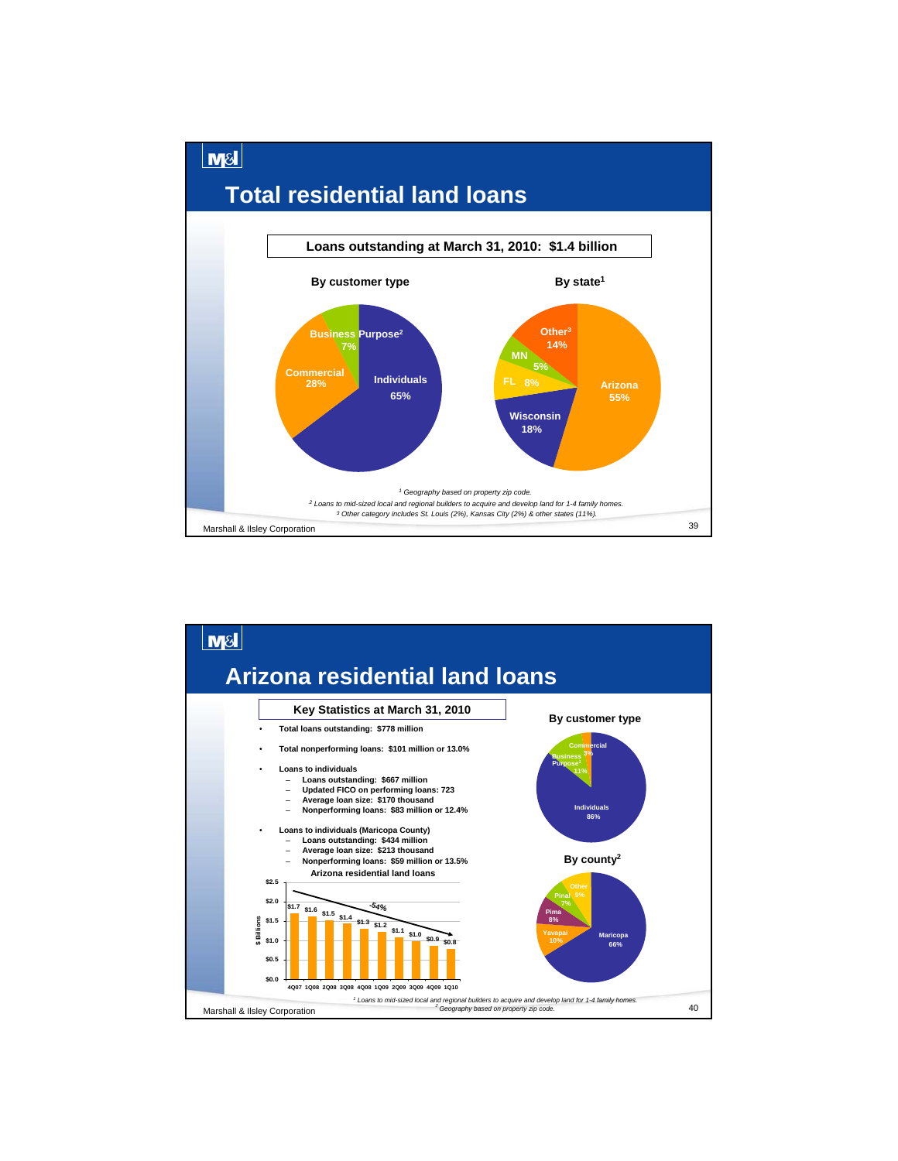

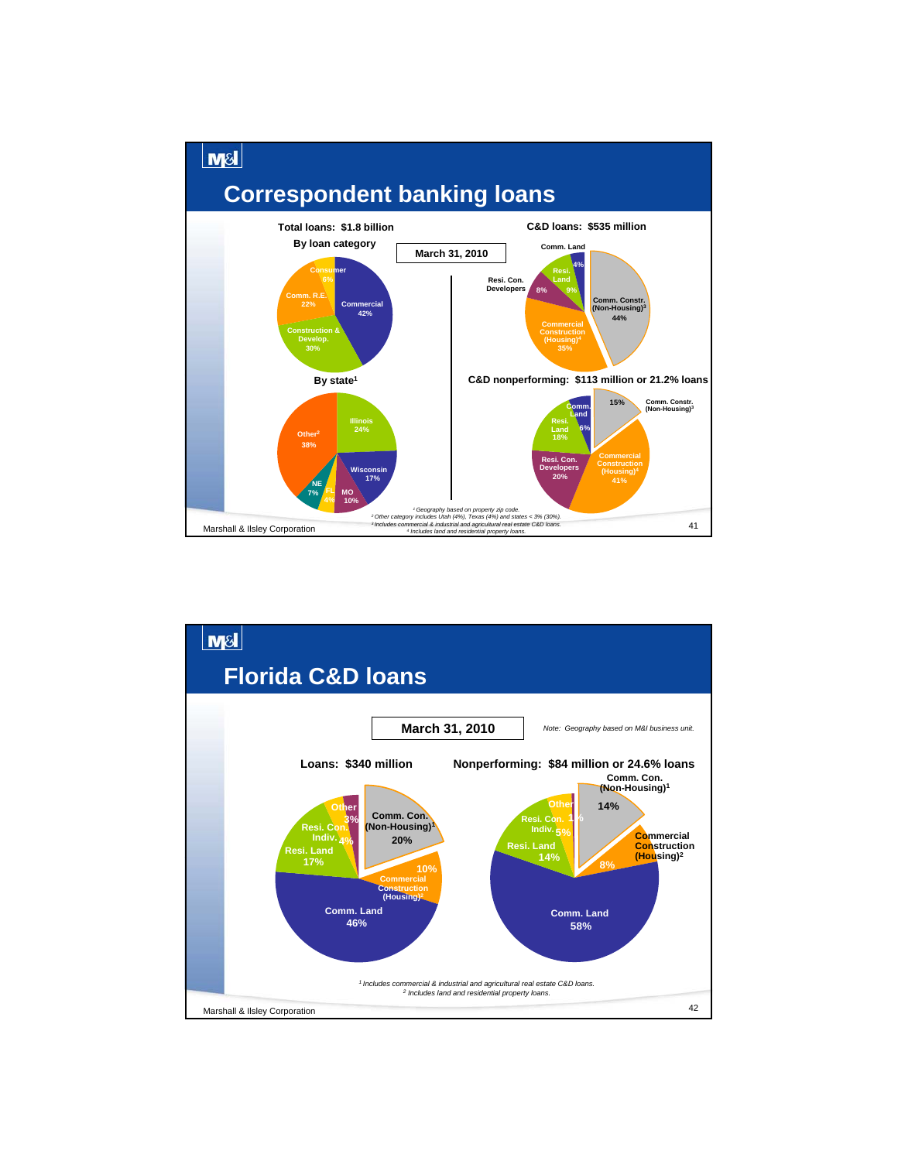

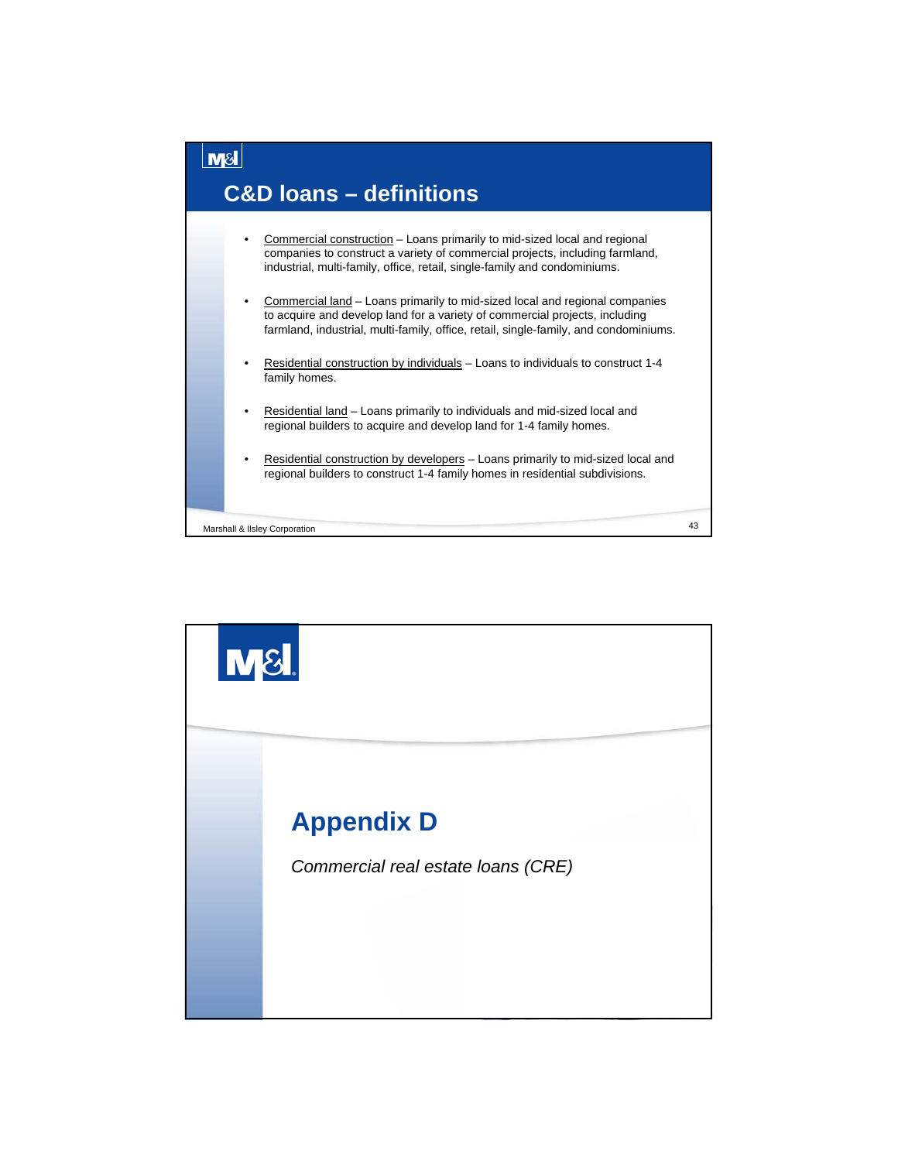

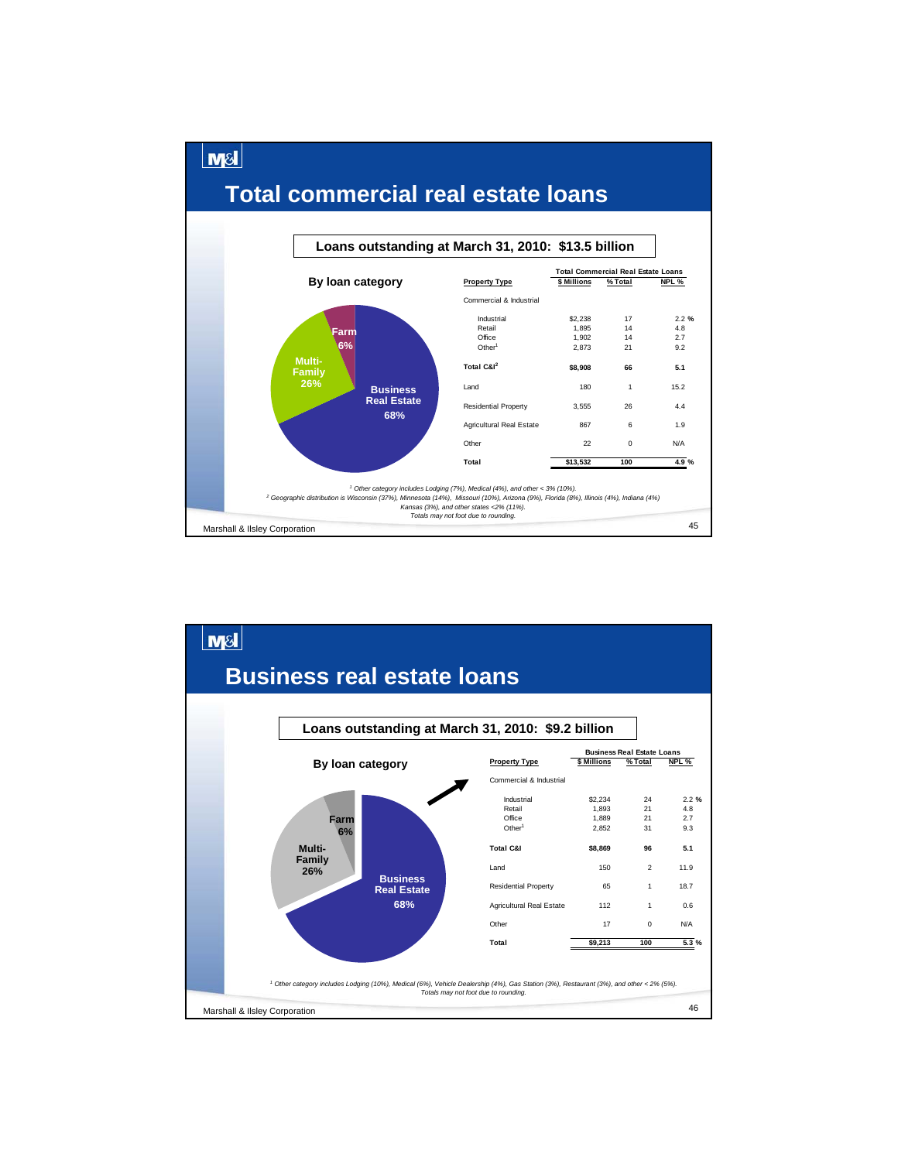

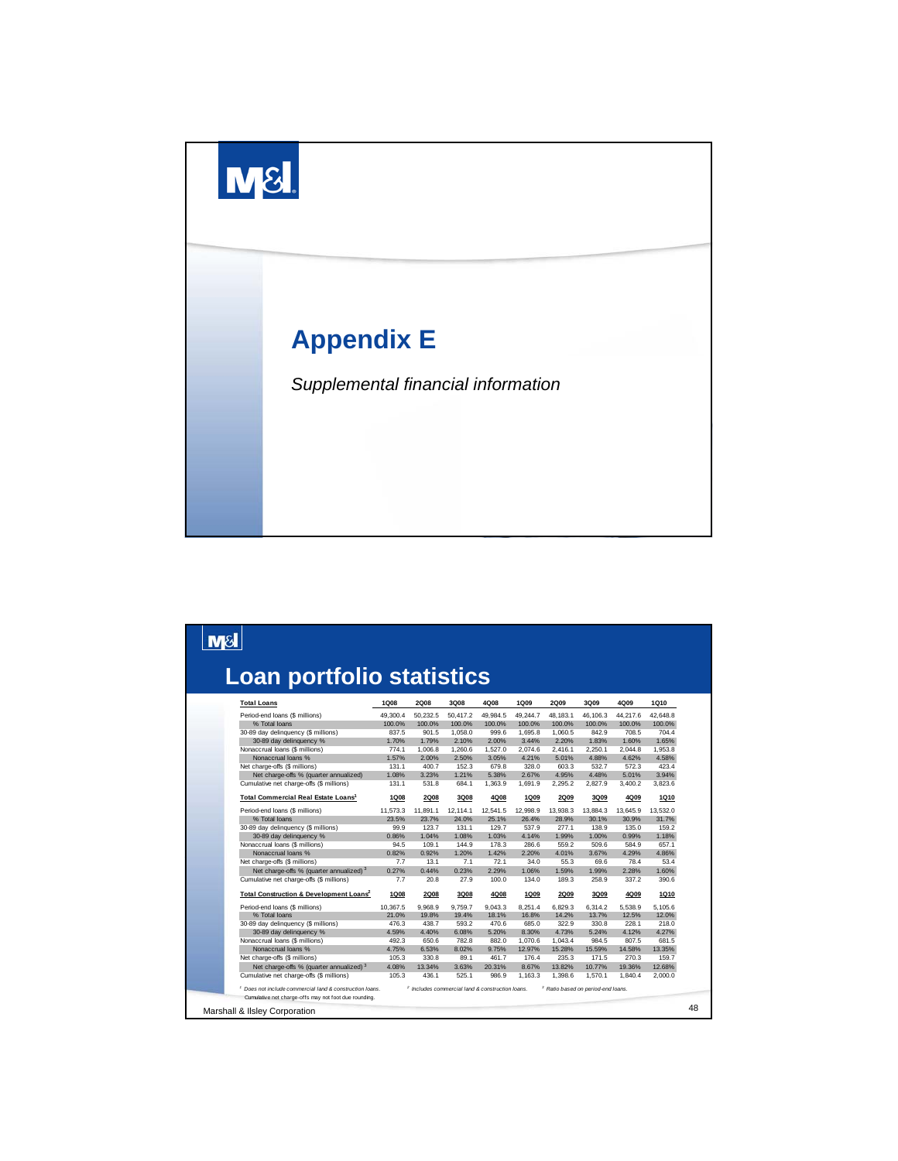

| <b>Loan portfolio statistics</b>                    |             |             |          |          |             |             |          |          |             |
|-----------------------------------------------------|-------------|-------------|----------|----------|-------------|-------------|----------|----------|-------------|
| <b>Total Loans</b>                                  | 1Q08        | <b>2Q08</b> | 3Q08     | 4Q08     | <b>1Q09</b> | <b>2Q09</b> | 3Q09     | 4Q09     | 1Q10        |
| Period-end loans (\$ millions)                      | 49.300.4    | 50,232.5    | 50.417.2 | 49.984.5 | 49.244.7    | 48.183.1    | 46,106.3 | 44.217.6 | 42.648.8    |
| % Total loans                                       | 100.0%      | 100.0%      | 100.0%   | 100.0%   | 100.0%      | 100.0%      | 100.0%   | 100.0%   | 100.0%      |
| 30-89 day delinquency (\$ millions)                 | 837.5       | 901.5       | 1.058.0  | 999.6    | 1.695.8     | 1,060.5     | 842.9    | 708.5    | 704.4       |
| 30-89 day delinquency %                             | 1.70%       | 1.79%       | 2.10%    | 2.00%    | 3.44%       | 2.20%       | 1.83%    | 1.60%    | 1.65%       |
| Nonaccrual loans (\$ millions)                      | 774.1       | 1,006.8     | 1,260.6  | 1,527.0  | 2,074.6     | 2,416.1     | 2,250.1  | 2.044.8  | 1,953.8     |
| Nonaccrual loans %                                  | 1.57%       | 2.00%       | 2.50%    | 3.05%    | 4.21%       | 5.01%       | 4.88%    | 4.62%    | 4.58%       |
| Net charge-offs (\$ millions)                       | 131.1       | 400.7       | 152.3    | 679.8    | 328.0       | 603.3       | 532.7    | 572.3    | 423.4       |
| Net charge-offs % (quarter annualized)              | 1.08%       | 3.23%       | 1.21%    | 5.38%    | 2.67%       | 4.95%       | 4.48%    | 5.01%    | 3.94%       |
| Cumulative net charge-offs (\$ millions)            | 131.1       | 531.8       | 684.1    | 1,363.9  | 1,691.9     | 2,295.2     | 2,827.9  | 3,400.2  | 3,823.6     |
| Total Commercial Real Estate Loans <sup>1</sup>     | <b>1Q08</b> | 2Q08        | 3Q08     | 4Q08     | <b>1Q09</b> | 2Q09        | 3Q09     | 4Q09     | 1Q10        |
| Period-end loans (\$ millions)                      | 11.573.3    | 11.891.1    | 12.114.1 | 12,541.5 | 12.998.9    | 13.938.3    | 13.884.3 | 13.645.9 | 13.532.0    |
| % Total loans                                       | 23.5%       | 23.7%       | 24.0%    | 25.1%    | 26.4%       | 28.9%       | 30.1%    | 30.9%    | 31.7%       |
| 30-89 day delinquency (\$ millions)                 | 99.9        | 123.7       | 131.1    | 129.7    | 537.9       | 277.1       | 138.9    | 135.0    | 159.2       |
| 30-89 day delinquency %                             | 0.86%       | 1.04%       | 1.08%    | 1.03%    | 4.14%       | 1.99%       | 1.00%    | 0.99%    | 1.18%       |
| Nonaccrual loans (\$ millions)                      | 94.5        | 109.1       | 144.9    | 178.3    | 286.6       | 559.2       | 509.6    | 584.9    | 657.1       |
| Nonaccrual loans %                                  | 0.82%       | 0.92%       | 1.20%    | 1.42%    | 2.20%       | 4.01%       | 3.67%    | 4.29%    | 4.86%       |
| Net charge-offs (\$ millions)                       | 7.7         | 13.1        | 7.1      | 72.1     | 34.0        | 55.3        | 69.6     | 78.4     | 53.4        |
| Net charge-offs % (quarter annualized) <sup>3</sup> | 0.27%       | 0.44%       | 0.23%    | 2.29%    | 1.06%       | 1.59%       | 1.99%    | 2.28%    | 1.60%       |
| Cumulative net charge-offs (\$ millions)            | 7.7         | 20.8        | 27.9     | 100.0    | 134.0       | 189.3       | 258.9    | 337.2    | 390.6       |
| Total Construction & Development Loans <sup>2</sup> | <b>1Q08</b> | <b>2Q08</b> | 3Q08     | 4Q08     | 1Q09        | <b>2Q09</b> | 3Q09     | 4Q09     | <b>1Q10</b> |
| Period-end loans (\$ millions)                      | 10.367.5    | 9.968.9     | 9.759.7  | 9.043.3  | 8,251.4     | 6.829.3     | 6.314.2  | 5.538.9  | 5.105.6     |
| % Total loans                                       | 21.0%       | 19.8%       | 19.4%    | 18.1%    | 16.8%       | 14.2%       | 13.7%    | 12.5%    | 12.0%       |
| 30-89 day delinquency (\$ millions)                 | 476.3       | 438.7       | 593.2    | 470.6    | 685.0       | 322.9       | 330.8    | 228.1    | 218.0       |
| 30-89 day delinquency %                             | 4.59%       | 4.40%       | 6.08%    | 5.20%    | 8.30%       | 4.73%       | 5.24%    | 4.12%    | 4.27%       |
| Nonaccrual loans (\$ millions)                      | 492.3       | 650.6       | 782.8    | 882.0    | 1.070.6     | 1.043.4     | 984.5    | 807.5    | 681.5       |
| Nonaccrual loans %                                  | 4.75%       | 6.53%       | 8.02%    | 9.75%    | 12.97%      | 15.28%      | 15.59%   | 14.58%   | 13.35%      |
| Net charge-offs (\$ millions)                       | 105.3       | 330.8       | 89.1     | 461.7    | 176.4       | 235.3       | 171.5    | 270.3    | 159.7       |
| Net charge-offs % (quarter annualized) <sup>3</sup> | 4.08%       | 13.34%      | 3.63%    | 20.31%   | 8.67%       | 13.82%      | 10.77%   | 19.36%   | 12.68%      |
| Cumulative net charge-offs (\$ millions)            | 105.3       | 436.1       | 525.1    | 986.9    | 1,163.3     | 1,398.6     | 1,570.1  | 1,840.4  | 2,000.0     |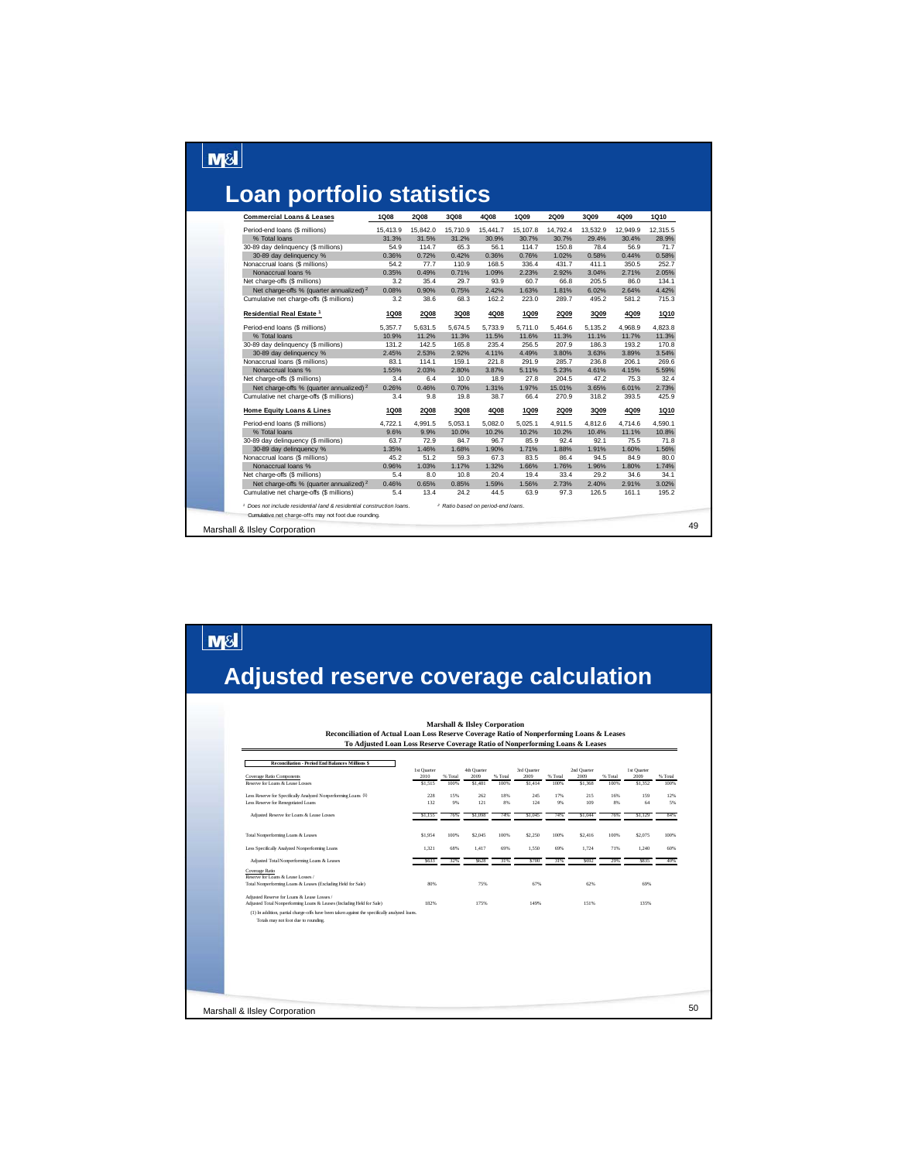#### $\boxed{\text{MSI}}$

 $\boxed{\text{M8}}$ 

## **Loan portfolio statistics**

| <b>Commercial Loans &amp; Leases</b>                                | 1Q08        | <b>2Q08</b> | 3Q08                                          | 4Q08     | 1Q09     | <b>2Q09</b> | 3Q09     | 4Q09     | 1Q10     |
|---------------------------------------------------------------------|-------------|-------------|-----------------------------------------------|----------|----------|-------------|----------|----------|----------|
| Period-end loans (\$ millions)                                      | 15,413.9    | 15,842.0    | 15,710.9                                      | 15,441.7 | 15,107.8 | 14,792.4    | 13,532.9 | 12,949.9 | 12,315.5 |
| % Total loans                                                       | 31.3%       | 31.5%       | 31.2%                                         | 30.9%    | 30.7%    | 30.7%       | 29.4%    | 30.4%    | 28.9%    |
| 30-89 day delinquency (\$ millions)                                 | 54.9        | 114.7       | 65.3                                          | 56.1     | 114.7    | 150.8       | 78.4     | 56.9     | 71.7     |
| 30-89 day delinquency %                                             | 0.36%       | 0.72%       | 0.42%                                         | 0.36%    | 0.76%    | 1.02%       | 0.58%    | 0.44%    | 0.58%    |
| Nonaccrual loans (\$ millions)                                      | 54.2        | 77.7        | 110.9                                         | 168.5    | 336.4    | 431.7       | 411.1    | 350.5    | 252.7    |
| Nonaccrual loans %                                                  | 0.35%       | 0.49%       | 0.71%                                         | 1.09%    | 2.23%    | 2.92%       | 3.04%    | 2.71%    | 2.05%    |
| Net charge-offs (\$ millions)                                       | 3.2         | 35.4        | 29.7                                          | 93.9     | 60.7     | 66.8        | 205.5    | 86.0     | 134.1    |
| Net charge-offs % (quarter annualized) <sup>2</sup>                 | 0.08%       | 0.90%       | 0.75%                                         | 2.42%    | 1.63%    | 1.81%       | 6.02%    | 2.64%    | 4.42%    |
| Cumulative net charge-offs (\$ millions)                            | 3.2         | 38.6        | 68.3                                          | 162.2    | 223.0    | 289.7       | 495.2    | 581.2    | 715.3    |
| Residential Real Estate <sup>1</sup>                                | <b>1Q08</b> | <b>2Q08</b> | 3Q08                                          | 4Q08     | 1Q09     | 2Q09        | 3Q09     | 4Q09     | 1Q10     |
| Period-end loans (\$ millions)                                      | 5.357.7     | 5.631.5     | 5.674.5                                       | 5,733.9  | 5.711.0  | 5.464.6     | 5,135.2  | 4.968.9  | 4.823.8  |
| % Total loans                                                       | 10.9%       | 11.2%       | 11.3%                                         | 11.5%    | 11.6%    | 11.3%       | 11.1%    | 11.7%    | 11.3%    |
| 30-89 day delinquency (\$ millions)                                 | 131.2       | 142.5       | 165.8                                         | 235.4    | 256.5    | 207.9       | 186.3    | 193.2    | 170.8    |
| 30-89 day delinquency %                                             | 2.45%       | 2.53%       | 2.92%                                         | 4.11%    | 4.49%    | 3.80%       | 3.63%    | 3.89%    | 3.54%    |
| Nonaccrual loans (\$ millions)                                      | 83.1        | 114.1       | 159.1                                         | 221.8    | 291.9    | 285.7       | 236.8    | 206.1    | 269.6    |
| Nonaccrual loans %                                                  | 1.55%       | 2.03%       | 2.80%                                         | 3.87%    | 5.11%    | 5.23%       | 4.61%    | 4.15%    | 5.59%    |
| Net charge-offs (\$ millions)                                       | 3.4         | 6.4         | 10.0                                          | 18.9     | 27.8     | 204.5       | 47.2     | 75.3     | 32.4     |
| Net charge-offs % (quarter annualized) <sup>2</sup>                 | 0.26%       | 0.46%       | 0.70%                                         | 1.31%    | 1.97%    | 15.01%      | 3.65%    | 6.01%    | 2.73%    |
| Cumulative net charge-offs (\$ millions)                            | 3.4         | 9.8         | 19.8                                          | 38.7     | 66.4     | 270.9       | 318.2    | 393.5    | 425.9    |
| <b>Home Equity Loans &amp; Lines</b>                                | <b>1Q08</b> | <b>2Q08</b> | 3Q08                                          | 4Q08     | 1Q09     | <b>2Q09</b> | 3Q09     | 4Q09     | 1Q10     |
| Period-end loans (\$ millions)                                      | 4,722.1     | 4.991.5     | 5.053.1                                       | 5.082.0  | 5.025.1  | 4.911.5     | 4.812.6  | 4.714.6  | 4.590.1  |
| % Total loans                                                       | 9.6%        | 9.9%        | 10.0%                                         | 10.2%    | 10.2%    | 10.2%       | 10.4%    | 11.1%    | 10.8%    |
| 30-89 day delinquency (\$ millions)                                 | 63.7        | 72.9        | 84.7                                          | 96.7     | 85.9     | 92.4        | 92.1     | 75.5     | 71.8     |
| 30-89 day delinquency %                                             | 1.35%       | 1.46%       | 1.68%                                         | 1.90%    | 1.71%    | 1.88%       | 1.91%    | 1.60%    | 1.56%    |
| Nonaccrual loans (\$ millions)                                      | 45.2        | 51.2        | 59.3                                          | 67.3     | 83.5     | 86.4        | 94.5     | 84.9     | 80.0     |
| Nonaccrual loans %                                                  | 0.96%       | 1.03%       | 1.17%                                         | 1.32%    | 1.66%    | 1.76%       | 1.96%    | 1.80%    | 1.74%    |
| Net charge-offs (\$ millions)                                       | 5.4         | 8.0         | 10.8                                          | 20.4     | 19.4     | 33.4        | 29.2     | 34.6     | 34.1     |
| Net charge-offs % (quarter annualized) <sup>2</sup>                 | 0.46%       | 0.65%       | 0.85%                                         | 1.59%    | 1.56%    | 2.73%       | 2.40%    | 2.91%    | 3.02%    |
| Cumulative net charge-offs (\$ millions)                            | 5.4         | 13.4        | 24.2                                          | 44.5     | 63.9     | 97.3        | 126.5    | 161.1    | 195.2    |
| Does not include residential land & residential construction loans. |             |             | <sup>2</sup> Ratio based on period-end loans. |          |          |             |          |          |          |
| Cumulative net charge-offs may not foot due rounding.               |             |             |                                               |          |          |             |          |          |          |

## **Adjusted reserve coverage calculation**

| <b>Reconciliation - Period End Balances Millions \$</b>                                                                               |                     |           |                     |           |                     |           |                     |           |                     |
|---------------------------------------------------------------------------------------------------------------------------------------|---------------------|-----------|---------------------|-----------|---------------------|-----------|---------------------|-----------|---------------------|
| Coverage Ratio Components                                                                                                             | 1st Quarter<br>2010 | % Total   | 4th Quarter<br>2009 | % Total   | 3rd Quarter<br>2009 | % Total   | 2nd Quarter<br>2009 | % Total   | 1st Quarter<br>2009 |
| Reserve for Loans & Lease Losses                                                                                                      | \$1,515             | 100%      | \$1,481             | 100%      | \$1,414             | 100%      | \$1,368             | 100%      | \$1,352             |
| Less Reserve for Specifically Analyzed Nonperforming Loans (1)<br>Less Reserve for Renegotiated Loans                                 | 228<br>132          | 15%<br>9% | 262<br>121          | 18%<br>8% | 245<br>124          | 17%<br>9% | 215<br>109          | 16%<br>8% | 159<br>64           |
| Adjusted Reserve for Loans & Lease Losses                                                                                             | \$1.155             | 76%       | \$1,098             | 74%       | S1.045              | 74%       | \$1,044             | 76%       | \$1.129             |
| Total Nonperforming Loans & Leases                                                                                                    | \$1,954             | 100%      | \$2,045             | 100%      | \$2,250             | 100%      | \$2,416             | 100%      | \$2,075             |
| Less Specifically Analyzed Nonperforming Loans                                                                                        | 1.321               | 68%       | 1.417               | 69%       | 1.550               | 69%       | 1.724               | 71%       | 1.240               |
| Adjusted Total Nonperforming Loans & Leases                                                                                           | \$633               | 32%       | \$628               | 31%       | \$700               | 31%       | \$692               | 29%       | \$835               |
| Coverage Ratio<br>Reserve for Loans & Lease Losses /                                                                                  |                     |           |                     |           |                     |           |                     |           |                     |
| Total Nonperforming Loans & Leases (Excluding Held for Sale)                                                                          | 80%                 |           | 75%                 |           | 67%                 |           | 62%                 |           | 69%                 |
| Adjusted Reserve for Loans & Lease Losses /<br>Adjusted Total Nonperforming Loans & Leases (Including Held for Sale)                  | 182%                |           | 175%                |           | 149%                |           | 151%                |           | 135%                |
| (1) In addition, partial charge-offs have been taken against the specifically analyzed loans.<br>Totals may not foot due to rounding. |                     |           |                     |           |                     |           |                     |           |                     |
|                                                                                                                                       |                     |           |                     |           |                     |           |                     |           |                     |
|                                                                                                                                       |                     |           |                     |           |                     |           |                     |           |                     |
|                                                                                                                                       |                     |           |                     |           |                     |           |                     |           |                     |